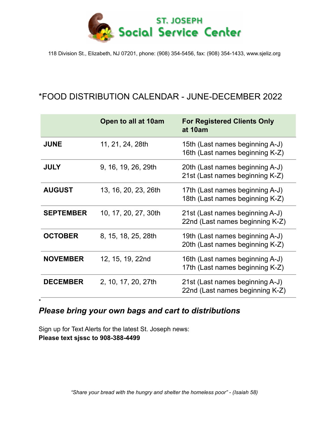

118 Division St., Elizabeth, NJ 07201, phone: (908) 354-5456, fax: (908) 354-1433, www.sjeliz.org

## \*FOOD DISTRIBUTION CALENDAR - JUNE-DECEMBER 2022

|                  | Open to all at 10am  | <b>For Registered Clients Only</b><br>at 10am                      |
|------------------|----------------------|--------------------------------------------------------------------|
| <b>JUNE</b>      | 11, 21, 24, 28th     | 15th (Last names beginning A-J)<br>16th (Last names beginning K-Z) |
| <b>JULY</b>      | 9, 16, 19, 26, 29th  | 20th (Last names beginning A-J)<br>21st (Last names beginning K-Z) |
| <b>AUGUST</b>    | 13, 16, 20, 23, 26th | 17th (Last names beginning A-J)<br>18th (Last names beginning K-Z) |
| <b>SEPTEMBER</b> | 10, 17, 20, 27, 30th | 21st (Last names beginning A-J)<br>22nd (Last names beginning K-Z) |
| <b>OCTOBER</b>   | 8, 15, 18, 25, 28th  | 19th (Last names beginning A-J)<br>20th (Last names beginning K-Z) |
| <b>NOVEMBER</b>  | 12, 15, 19, 22nd     | 16th (Last names beginning A-J)<br>17th (Last names beginning K-Z) |
| <b>DECEMBER</b>  | 2, 10, 17, 20, 27th  | 21st (Last names beginning A-J)<br>22nd (Last names beginning K-Z) |

## *Please bring your own bags and cart to distributions*

Sign up for Text Alerts for the latest St. Joseph news: **Please text sjssc to 908-388-4499**

\*